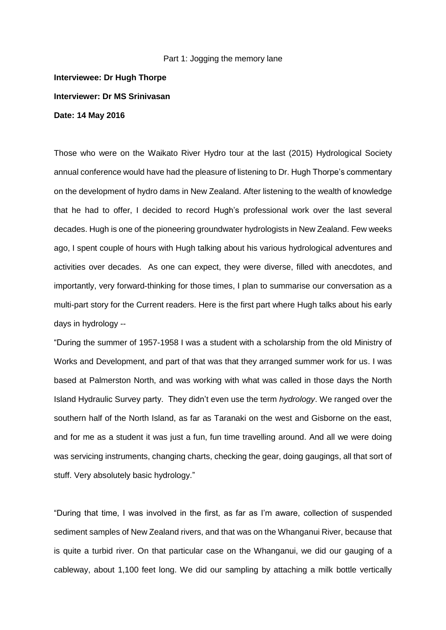## Part 1: Jogging the memory lane

**Interviewee: Dr Hugh Thorpe Interviewer: Dr MS Srinivasan Date: 14 May 2016**

Those who were on the Waikato River Hydro tour at the last (2015) Hydrological Society annual conference would have had the pleasure of listening to Dr. Hugh Thorpe's commentary on the development of hydro dams in New Zealand. After listening to the wealth of knowledge that he had to offer, I decided to record Hugh's professional work over the last several decades. Hugh is one of the pioneering groundwater hydrologists in New Zealand. Few weeks ago, I spent couple of hours with Hugh talking about his various hydrological adventures and activities over decades. As one can expect, they were diverse, filled with anecdotes, and importantly, very forward-thinking for those times, I plan to summarise our conversation as a multi-part story for the Current readers. Here is the first part where Hugh talks about his early days in hydrology --

"During the summer of 1957-1958 I was a student with a scholarship from the old Ministry of Works and Development, and part of that was that they arranged summer work for us. I was based at Palmerston North, and was working with what was called in those days the North Island Hydraulic Survey party. They didn't even use the term *hydrology*. We ranged over the southern half of the North Island, as far as Taranaki on the west and Gisborne on the east, and for me as a student it was just a fun, fun time travelling around. And all we were doing was servicing instruments, changing charts, checking the gear, doing gaugings, all that sort of stuff. Very absolutely basic hydrology."

"During that time, I was involved in the first, as far as I'm aware, collection of suspended sediment samples of New Zealand rivers, and that was on the Whanganui River, because that is quite a turbid river. On that particular case on the Whanganui, we did our gauging of a cableway, about 1,100 feet long. We did our sampling by attaching a milk bottle vertically